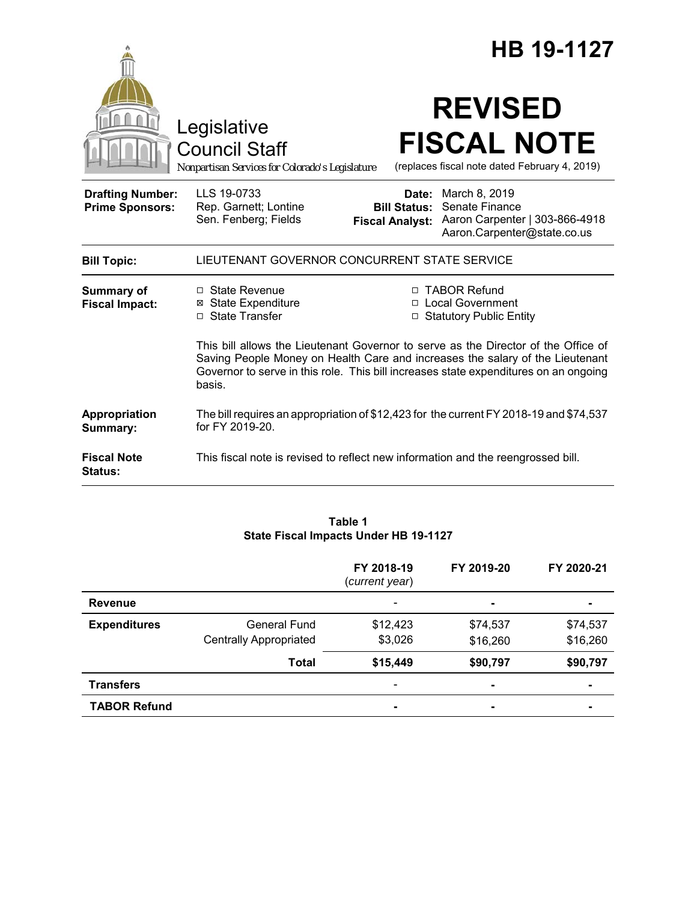|                                                   |                                                                                                                                                                                                                                                                       | HB 19-1127<br><b>REVISED</b><br><b>FISCAL NOTE</b><br>(replaces fiscal note dated February 4, 2019) |                                                                                                  |  |  |
|---------------------------------------------------|-----------------------------------------------------------------------------------------------------------------------------------------------------------------------------------------------------------------------------------------------------------------------|-----------------------------------------------------------------------------------------------------|--------------------------------------------------------------------------------------------------|--|--|
|                                                   | Legislative<br><b>Council Staff</b><br>Nonpartisan Services for Colorado's Legislature                                                                                                                                                                                |                                                                                                     |                                                                                                  |  |  |
| <b>Drafting Number:</b><br><b>Prime Sponsors:</b> | LLS 19-0733<br>Rep. Garnett; Lontine<br>Sen. Fenberg; Fields                                                                                                                                                                                                          | Date:<br><b>Bill Status:</b><br><b>Fiscal Analyst:</b>                                              | March 8, 2019<br>Senate Finance<br>Aaron Carpenter   303-866-4918<br>Aaron.Carpenter@state.co.us |  |  |
| <b>Bill Topic:</b>                                | LIEUTENANT GOVERNOR CONCURRENT STATE SERVICE                                                                                                                                                                                                                          |                                                                                                     |                                                                                                  |  |  |
| <b>Summary of</b><br><b>Fiscal Impact:</b>        | □ State Revenue<br><b>⊠ State Expenditure</b><br>□ State Transfer                                                                                                                                                                                                     |                                                                                                     | □ TABOR Refund<br>□ Local Government<br>□ Statutory Public Entity                                |  |  |
|                                                   | This bill allows the Lieutenant Governor to serve as the Director of the Office of<br>Saving People Money on Health Care and increases the salary of the Lieutenant<br>Governor to serve in this role. This bill increases state expenditures on an ongoing<br>basis. |                                                                                                     |                                                                                                  |  |  |
| Appropriation<br>Summary:                         | The bill requires an appropriation of \$12,423 for the current FY 2018-19 and \$74,537<br>for FY 2019-20.                                                                                                                                                             |                                                                                                     |                                                                                                  |  |  |
| <b>Fiscal Note</b><br><b>Status:</b>              | This fiscal note is revised to reflect new information and the reengrossed bill.                                                                                                                                                                                      |                                                                                                     |                                                                                                  |  |  |

|                     |                               | FY 2018-19<br>(current year) | FY 2019-20     | FY 2020-21 |  |  |
|---------------------|-------------------------------|------------------------------|----------------|------------|--|--|
| <b>Revenue</b>      |                               |                              | ۰              |            |  |  |
| <b>Expenditures</b> | General Fund                  | \$12,423                     | \$74,537       | \$74,537   |  |  |
|                     | <b>Centrally Appropriated</b> | \$3,026                      | \$16,260       | \$16,260   |  |  |
|                     | <b>Total</b>                  | \$15,449                     | \$90,797       | \$90,797   |  |  |
| <b>Transfers</b>    |                               |                              | $\blacksquare$ |            |  |  |
| <b>TABOR Refund</b> |                               |                              | $\blacksquare$ |            |  |  |

## **Table 1 State Fiscal Impacts Under HB 19-1127**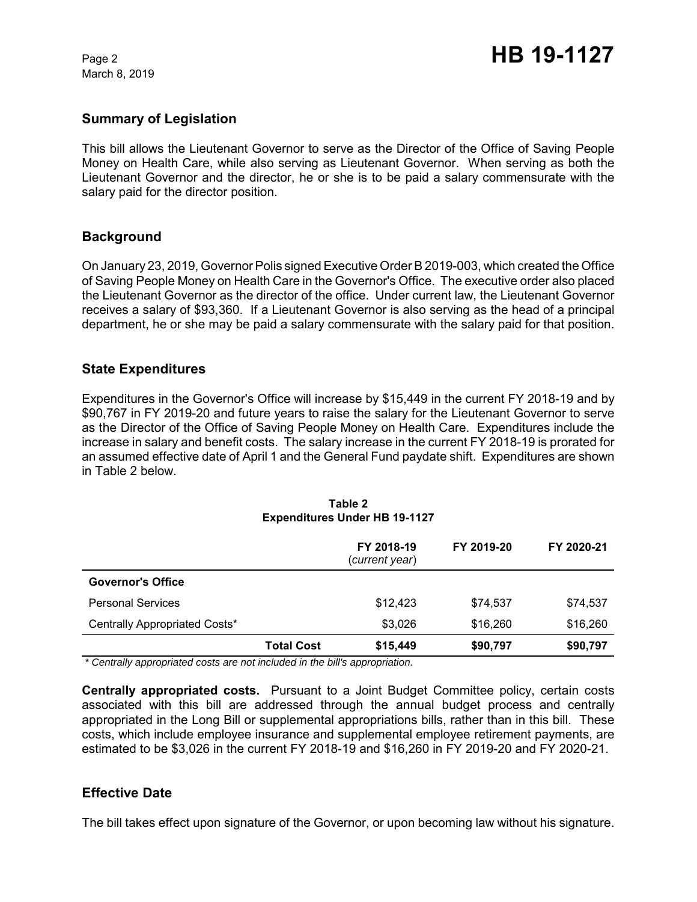March 8, 2019

## **Summary of Legislation**

This bill allows the Lieutenant Governor to serve as the Director of the Office of Saving People Money on Health Care, while also serving as Lieutenant Governor. When serving as both the Lieutenant Governor and the director, he or she is to be paid a salary commensurate with the salary paid for the director position.

## **Background**

On January 23, 2019, Governor Polis signed Executive Order B 2019-003, which created the Office of Saving People Money on Health Care in the Governor's Office. The executive order also placed the Lieutenant Governor as the director of the office. Under current law, the Lieutenant Governor receives a salary of \$93,360. If a Lieutenant Governor is also serving as the head of a principal department, he or she may be paid a salary commensurate with the salary paid for that position.

## **State Expenditures**

Expenditures in the Governor's Office will increase by \$15,449 in the current FY 2018-19 and by \$90,767 in FY 2019-20 and future years to raise the salary for the Lieutenant Governor to serve as the Director of the Office of Saving People Money on Health Care. Expenditures include the increase in salary and benefit costs. The salary increase in the current FY 2018-19 is prorated for an assumed effective date of April 1 and the General Fund paydate shift. Expenditures are shown in Table 2 below.

|                               |                   | FY 2018-19<br>(current year) | FY 2019-20 | FY 2020-21 |
|-------------------------------|-------------------|------------------------------|------------|------------|
| <b>Governor's Office</b>      |                   |                              |            |            |
| <b>Personal Services</b>      |                   | \$12,423                     | \$74,537   | \$74,537   |
| Centrally Appropriated Costs* |                   | \$3,026                      | \$16,260   | \$16,260   |
|                               | <b>Total Cost</b> | \$15,449                     | \$90,797   | \$90,797   |

#### **Table 2 Expenditures Under HB 19-1127**

 *\* Centrally appropriated costs are not included in the bill's appropriation.*

**Centrally appropriated costs.** Pursuant to a Joint Budget Committee policy, certain costs associated with this bill are addressed through the annual budget process and centrally appropriated in the Long Bill or supplemental appropriations bills, rather than in this bill. These costs, which include employee insurance and supplemental employee retirement payments, are estimated to be \$3,026 in the current FY 2018-19 and \$16,260 in FY 2019-20 and FY 2020-21.

## **Effective Date**

The bill takes effect upon signature of the Governor, or upon becoming law without his signature.